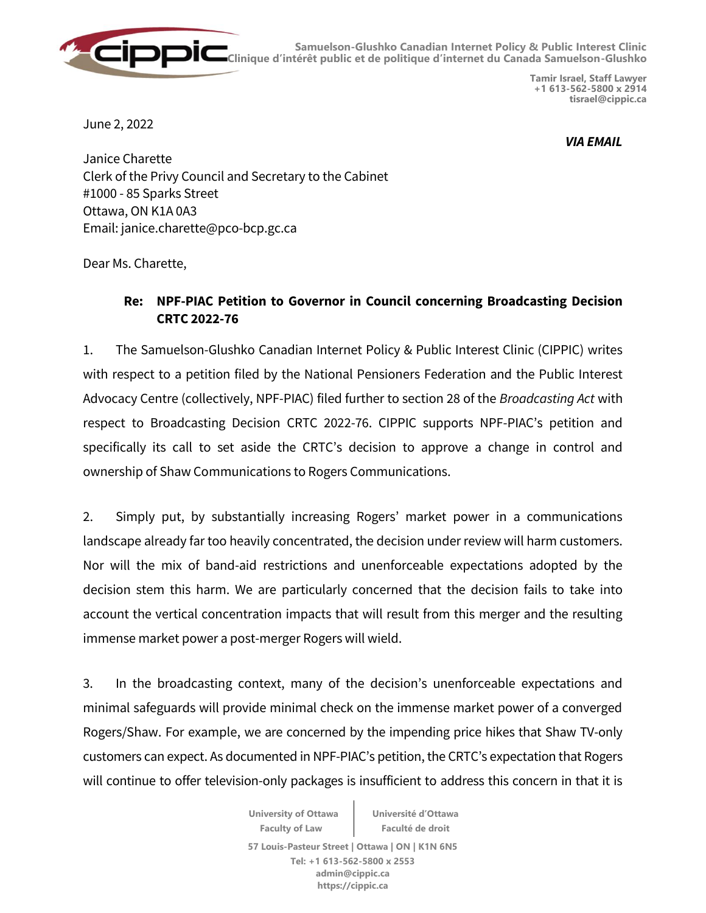

**Samuelson-Glushko Canadian Internet Policy & Public Interest Clinic Clinique d'intérêt public et de politique d'internet du Canada Samuelson-Glushko**

> **Tamir Israel, Staff Lawyer +1 613-562-5800 x 2914 tisrael@cippic.ca**

June 2, 2022

*VIA EMAIL*

Janice Charette Clerk of the Privy Council and Secretary to the Cabinet #1000 - 85 Sparks Street Ottawa, ON K1A 0A3 Email: janice.charette@pco-bcp.gc.ca

Dear Ms. Charette,

## **Re: NPF-PIAC Petition to Governor in Council concerning Broadcasting Decision CRTC 2022-76**

1. The Samuelson-Glushko Canadian Internet Policy & Public Interest Clinic (CIPPIC) writes with respect to a petition filed by the National Pensioners Federation and the Public Interest Advocacy Centre (collectively, NPF-PIAC) filed further to section 28 of the *Broadcasting Act* with respect to Broadcasting Decision CRTC 2022-76. CIPPIC supports NPF-PIAC's petition and specifically its call to set aside the CRTC's decision to approve a change in control and ownership of Shaw Communications to Rogers Communications.

2. Simply put, by substantially increasing Rogers' market power in a communications landscape already far too heavily concentrated, the decision under review will harm customers. Nor will the mix of band-aid restrictions and unenforceable expectations adopted by the decision stem this harm. We are particularly concerned that the decision fails to take into account the vertical concentration impacts that will result from this merger and the resulting immense market power a post-merger Rogers will wield.

3. In the broadcasting context, many of the decision's unenforceable expectations and minimal safeguards will provide minimal check on the immense market power of a converged Rogers/Shaw. For example, we are concerned by the impending price hikes that Shaw TV-only customers can expect. As documented in NPF-PIAC's petition, the CRTC's expectation that Rogers will continue to offer television-only packages is insufficient to address this concern in that it is

> **University of Ottawa Faculty of Law Université d'Ottawa Faculté de droit 57 Louis-Pasteur Street | Ottawa | ON | K1N 6N5 Tel: +1 613-562-5800 x 2553 admin@cippic.ca**

> > **https://cippic.ca**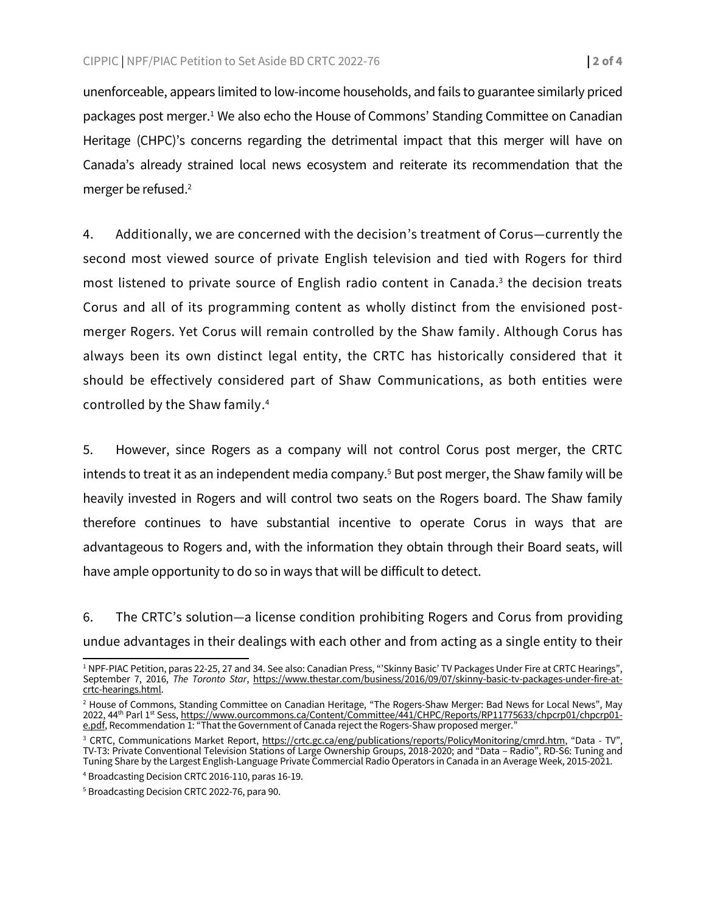unenforceable, appears limited to low-income households, and fails to guarantee similarly priced packages post merger.<sup>1</sup> We also echo the House of Commons' Standing Committee on Canadian Heritage (CHPC)'s concerns regarding the detrimental impact that this merger will have on Canada's already strained local news ecosystem and reiterate its recommendation that the merger be refused.<sup>2</sup>

4. Additionally, we are concerned with the decision's treatment of Corus—currently the second most viewed source of private English television and tied with Rogers for third most listened to private source of English radio content in Canada. 3 the decision treats Corus and all of its programming content as wholly distinct from the envisioned postmerger Rogers. Yet Corus will remain controlled by the Shaw family. Although Corus has always been its own distinct legal entity, the CRTC has historically considered that it should be effectively considered part of Shaw Communications, as both entities were controlled by the Shaw family. 4

5. However, since Rogers as a company will not control Corus post merger, the CRTC intends to treat it as an independent media company.<sup>5</sup> But post merger, the Shaw family will be heavily invested in Rogers and will control two seats on the Rogers board. The Shaw family therefore continues to have substantial incentive to operate Corus in ways that are advantageous to Rogers and, with the information they obtain through their Board seats, will have ample opportunity to do so in ways that will be difficult to detect.

6. The CRTC's solution—a license condition prohibiting Rogers and Corus from providing undue advantages in their dealings with each other and from acting as a single entity to their

 <sup>1</sup> NPF-PIAC Petition, paras 22-25, 27 and 34. See also: Canadian Press, "'Skinny Basic' TV Packages Under Fire at CRTC Hearings", September 7, 2016, *The Toronto Star*, [https://www.thestar.com/business/2016/09/07/skinny-basic-tv-packages-under-fire-at](https://www.thestar.com/business/2016/09/07/skinny-basic-tv-packages-under-fire-at-crtc-hearings.html)[crtc-hearings.html.](https://www.thestar.com/business/2016/09/07/skinny-basic-tv-packages-under-fire-at-crtc-hearings.html) 

<sup>&</sup>lt;sup>2</sup> House of Commons, Standing Committee on Canadian Heritage, "The Rogers-Shaw Merger: Bad News for Local News", May 2022, 44<sup>th</sup> Parl 1st Sess, <u>https://www.ourcommons.ca/Content/Committee/441/CHPC/Reports/RP11775633/chpcrp01/chpcrp01-</u> [e.pdf,](https://www.ourcommons.ca/Content/Committee/441/CHPC/Reports/RP11775633/chpcrp01/chpcrp01-e.pdf) Recommendation 1: "That the Government of Canada reject the Rogers-Shaw proposed merger."

<sup>&</sup>lt;sup>3</sup> CRTC, Communications Market Report, [https://crtc.gc.ca/eng/publications/reports/PolicyMonitoring/cmrd.htm,](https://crtc.gc.ca/eng/publications/reports/PolicyMonitoring/cmrd.htm) "Data - TV", TV-T3: Private Conventional Television Stations of Large Ownership Groups, 2018-2020; and "Data – Radio", RD-S6: Tuning and Tuning Share by the Largest English-Language Private Commercial Radio Operators in Canada in an Average Week, 2015-2021.

<sup>4</sup> Broadcasting Decision CRTC 2016-110, paras 16-19.

<sup>5</sup> Broadcasting Decision CRTC 2022-76, para 90.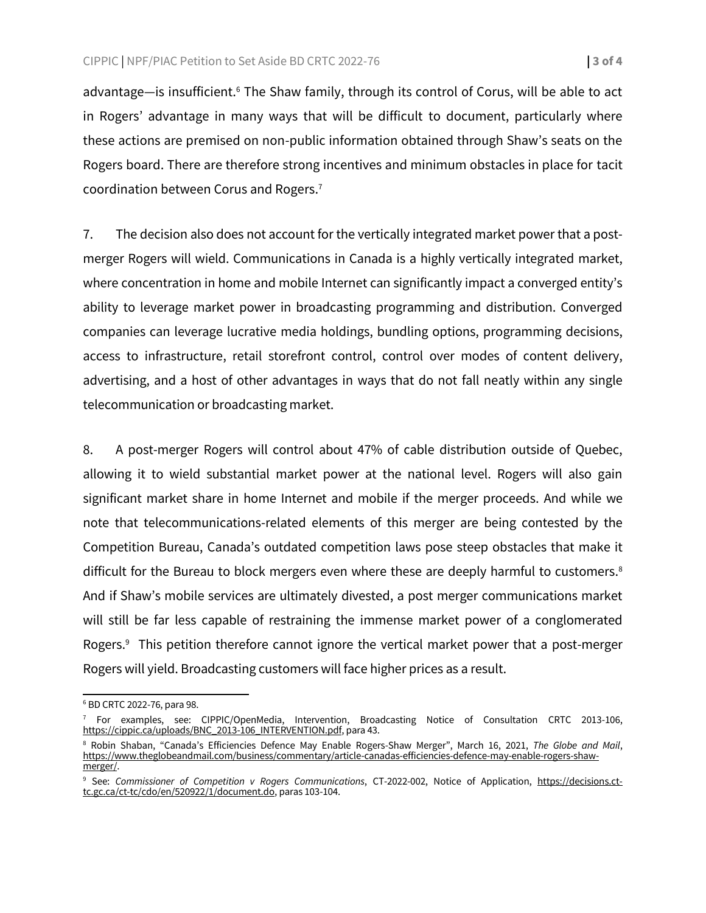advantage—is insufficient.<sup>6</sup> The Shaw family, through its control of Corus, will be able to act in Rogers' advantage in many ways that will be difficult to document, particularly where these actions are premised on non-public information obtained through Shaw's seats on the Rogers board. There are therefore strong incentives and minimum obstacles in place for tacit coordination between Corus and Rogers.<sup>7</sup>

7. The decision also does not account for the vertically integrated market power that a postmerger Rogers will wield. Communications in Canada is a highly vertically integrated market, where concentration in home and mobile Internet can significantly impact a converged entity's ability to leverage market power in broadcasting programming and distribution. Converged companies can leverage lucrative media holdings, bundling options, programming decisions, access to infrastructure, retail storefront control, control over modes of content delivery, advertising, and a host of other advantages in ways that do not fall neatly within any single telecommunication or broadcasting market.

8. A post-merger Rogers will control about 47% of cable distribution outside of Quebec, allowing it to wield substantial market power at the national level. Rogers will also gain significant market share in home Internet and mobile if the merger proceeds. And while we note that telecommunications-related elements of this merger are being contested by the Competition Bureau, Canada's outdated competition laws pose steep obstacles that make it difficult for the Bureau to block mergers even where these are deeply harmful to customers.<sup>8</sup> And if Shaw's mobile services are ultimately divested, a post merger communications market will still be far less capable of restraining the immense market power of a conglomerated Rogers.<sup>9</sup> This petition therefore cannot ignore the vertical market power that a post-merger Rogers will yield. Broadcasting customers will face higher prices as a result.

 <sup>6</sup> BD CRTC 2022-76, para 98.

<sup>&</sup>lt;sup>7</sup> For examples, see: CIPPIC/OpenMedia, Intervention, Broadcasting Notice of Consultation CRTC 2013-106, [https://cippic.ca/uploads/BNC\\_2013-106\\_INTERVENTION.pdf,](https://cippic.ca/uploads/BNC_2013-106_INTERVENTION.pdf) para 43.

<sup>8</sup> Robin Shaban, "Canada's Efficiencies Defence May Enable Rogers-Shaw Merger", March 16, 2021, *The Globe and Mail*, [https://www.theglobeandmail.com/business/commentary/article-canadas-efficiencies-defence-may-enable-rogers-shaw](https://www.theglobeandmail.com/business/commentary/article-canadas-efficiencies-defence-may-enable-rogers-shaw-merger/)[merger/.](https://www.theglobeandmail.com/business/commentary/article-canadas-efficiencies-defence-may-enable-rogers-shaw-merger/)

<sup>9</sup> See: *Commissioner of Competition v Rogers Communications*, CT-2022-002, Notice of Application, [https://decisions.ct](https://decisions.ct-tc.gc.ca/ct-tc/cdo/en/520922/1/document.do)[tc.gc.ca/ct-tc/cdo/en/520922/1/document.do,](https://decisions.ct-tc.gc.ca/ct-tc/cdo/en/520922/1/document.do) paras 103-104.